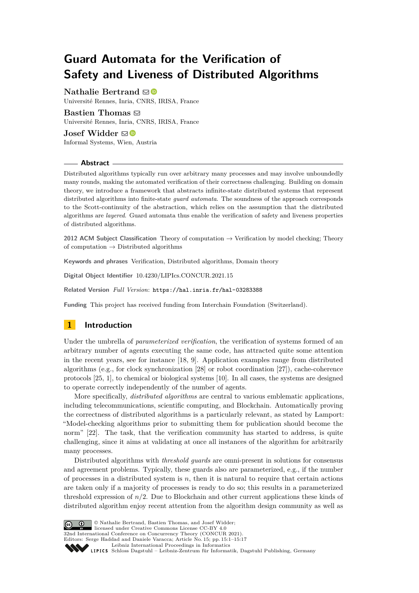# **Guard Automata for the Verification of Safety and Liveness of Distributed Algorithms**

**Nathalie Bertrand**  $\boxdot$ 

Université Rennes, Inria, CNRS, IRISA, France

**Bastien Thomas**  $\boxtimes$ Université Rennes, Inria, CNRS, IRISA, France **Josef Widder** ⊠<sup>■</sup>

Informal Systems, Wien, Austria

#### **Abstract**

Distributed algorithms typically run over arbitrary many processes and may involve unboundedly many rounds, making the automated verification of their correctness challenging. Building on domain theory, we introduce a framework that abstracts infinite-state distributed systems that represent distributed algorithms into finite-state *guard automata*. The soundness of the approach corresponds to the Scott-continuity of the abstraction, which relies on the assumption that the distributed algorithms are *layered*. Guard automata thus enable the verification of safety and liveness properties of distributed algorithms.

**2012 ACM Subject Classification** Theory of computation → Verification by model checking; Theory of computation  $\rightarrow$  Distributed algorithms

**Keywords and phrases** Verification, Distributed algorithms, Domain theory

**Digital Object Identifier** [10.4230/LIPIcs.CONCUR.2021.15](https://doi.org/10.4230/LIPIcs.CONCUR.2021.15)

**Related Version** *Full Version*: <https://hal.inria.fr/hal-03283388>

**Funding** This project has received funding from Interchain Foundation (Switzerland).

# **1 Introduction**

Under the umbrella of *parameterized verification*, the verification of systems formed of an arbitrary number of agents executing the same code, has attracted quite some attention in the recent years, see for instance [\[18,](#page-16-0) [9\]](#page-15-0). Application examples range from distributed algorithms (e.g., for clock synchronization [\[28\]](#page-16-1) or robot coordination [\[27\]](#page-16-2)), cache-coherence protocols [\[25,](#page-16-3) [1\]](#page-15-1), to chemical or biological systems [\[10\]](#page-15-2). In all cases, the systems are designed to operate correctly independently of the number of agents.

More specifically, *distributed algorithms* are central to various emblematic applications, including telecommunications, scientific computing, and Blockchain. Automatically proving the correctness of distributed algorithms is a particularly relevant, as stated by Lamport: "Model-checking algorithms prior to submitting them for publication should become the norm" [\[22\]](#page-16-4). The task, that the verification community has started to address, is quite challenging, since it aims at validating at once all instances of the algorithm for arbitrarily many processes.

Distributed algorithms with *threshold guards* are omni-present in solutions for consensus and agreement problems. Typically, these guards also are parameterized, e.g., if the number of processes in a distributed system is *n*, then it is natural to require that certain actions are taken only if a majority of processes is ready to do so; this results in a parameterized threshold expression of  $n/2$ . Due to Blockchain and other current applications these kinds of distributed algorithm enjoy recent attention from the algorithm design community as well as



© Nathalie Bertrand, Bastien Thomas, and Josef Widder; licensed under Creative Commons License CC-BY 4.0

32nd International Conference on Concurrency Theory (CONCUR 2021).

Editors: Serge Haddad and Daniele Varacca; Article No. 15; pp. 15:1–15:17

Leibniz international ruceedings in miorimetric<br>
LIPICS [Schloss Dagstuhl – Leibniz-Zentrum für Informatik, Dagstuhl Publishing, Germany](https://www.dagstuhl.de)

[Leibniz International Proceedings in Informatics](https://www.dagstuhl.de/lipics/)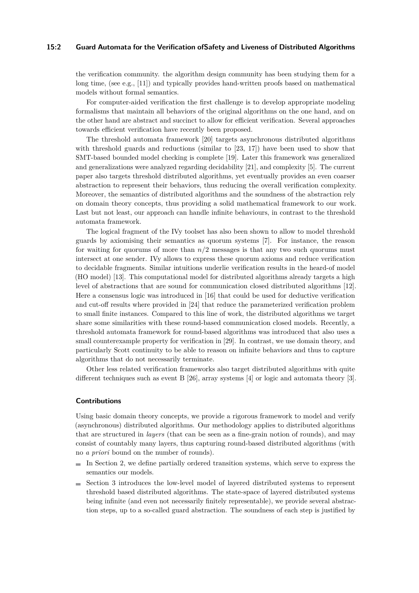#### **15:2 Guard Automata for the Verification ofSafety and Liveness of Distributed Algorithms**

the verification community. the algorithm design community has been studying them for a long time, (see e.g., [\[11\]](#page-15-3)) and typically provides hand-written proofs based on mathematical models without formal semantics.

For computer-aided verification the first challenge is to develop appropriate modeling formalisms that maintain all behaviors of the original algorithms on the one hand, and on the other hand are abstract and succinct to allow for efficient verification. Several approaches towards efficient verification have recently been proposed.

The threshold automata framework [\[20\]](#page-16-5) targets asynchronous distributed algorithms with threshold guards and reductions (similar to [\[23,](#page-16-6) [17\]](#page-15-4)) have been used to show that SMT-based bounded model checking is complete [\[19\]](#page-16-7). Later this framework was generalized and generalizations were analyzed regarding decidability [\[21\]](#page-16-8), and complexity [\[5\]](#page-15-5). The current paper also targets threshold distributed algorithms, yet eventually provides an even coarser abstraction to represent their behaviors, thus reducing the overall verification complexity. Moreover, the semantics of distributed algorithms and the soundness of the abstraction rely on domain theory concepts, thus providing a solid mathematical framework to our work. Last but not least, our approach can handle infinite behaviours, in contrast to the threshold automata framework.

The logical fragment of the IVy toolset has also been shown to allow to model threshold guards by axiomising their semantics as quorum systems [\[7\]](#page-15-6). For instance, the reason for waiting for quorums of more than *n/*2 messages is that any two such quorums must intersect at one sender. IVy allows to express these quorum axioms and reduce verification to decidable fragments. Similar intuitions underlie verification results in the heard-of model (HO model) [\[13\]](#page-15-7). This computational model for distributed algorithms already targets a high level of abstractions that are sound for communication closed distributed algorithms [\[12\]](#page-15-8). Here a consensus logic was introduced in [\[16\]](#page-15-9) that could be used for deductive verification and cut-off results where provided in [\[24\]](#page-16-9) that reduce the parameterized verification problem to small finite instances. Compared to this line of work, the distributed algorithms we target share some similarities with these round-based communication closed models. Recently, a threshold automata framework for round-based algorithms was introduced that also uses a small counterexample property for verification in [\[29\]](#page-16-10). In contrast, we use domain theory, and particularly Scott continuity to be able to reason on infinite behaviors and thus to capture algorithms that do not necessarily terminate.

Other less related verification frameworks also target distributed algorithms with quite different techniques such as event B [\[26\]](#page-16-11), array systems [\[4\]](#page-15-10) or logic and automata theory [\[3\]](#page-15-11).

#### **Contributions**

Using basic domain theory concepts, we provide a rigorous framework to model and verify (asynchronous) distributed algorithms. Our methodology applies to distributed algorithms that are structured in *layers* (that can be seen as a fine-grain notion of rounds), and may consist of countably many layers, thus capturing round-based distributed algorithms (with no *a priori* bound on the number of rounds).

- $\blacksquare$  In Section [2,](#page-2-0) we define partially ordered transition systems, which serve to express the semantics our models.
- Section [3](#page-4-0) introduces the low-level model of layered distributed systems to represent m. threshold based distributed algorithms. The state-space of layered distributed systems being infinite (and even not necessarily finitely representable), we provide several abstraction steps, up to a so-called guard abstraction. The soundness of each step is justified by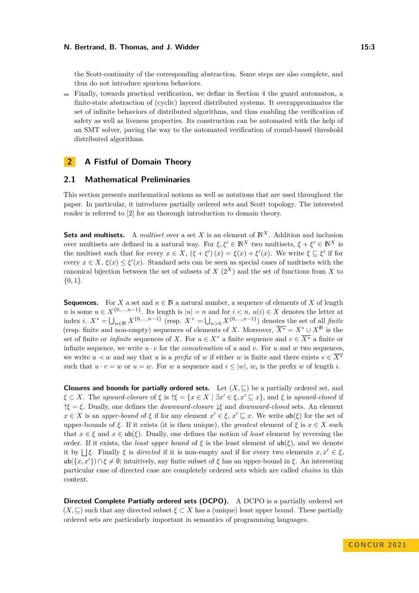the Scott-continuity of the corresponding abstraction. Some steps are also complete, and thus do not introduce spurious behaviors.

Finally, towards practical verification, we define in Section [4](#page-11-0) the guard automaton, a finite-state abstraction of (cyclic) layered distributed systems. It overapproximates the set of infinite behaviors of distributed algorithms, and thus enabling the verification of safety as well as liveness properties. Its construction can be automated with the help of an SMT solver, paving the way to the automated verification of round-based threshold distributed algorithms.

# <span id="page-2-0"></span>**2 A Fistful of Domain Theory**

## **2.1 Mathematical Preliminaries**

This section presents mathematical notions as well as notations that are used throughout the paper. In particular, it introduces partially ordered sets and Scott topology. The interested reader is referred to [\[2\]](#page-15-12) for an thorough introduction to domain theory.

**Sets and multisets.** A *multiset* over a set *X* is an element of  $\mathbb{N}^X$ . Addition and inclusion over multisets are defined in a natural way. For  $\xi, \xi' \in \mathbb{N}^X$  two multisets,  $\xi + \xi' \in \mathbb{N}^X$  is the multiset such that for every  $x \in X$ ,  $(\xi + \xi') (x) = \xi(x) + \xi'(x)$ . We write  $\xi \subseteq \xi'$  if for every  $x \in X$ ,  $\xi(x) \leq \xi'(x)$ . Standard sets can be seen as special cases of multisets with the canonical bijection between the set of subsets of  $X(2^X)$  and the set of functions from X to {0*,* 1}.

**Sequences.** For *X* a set and  $n \in \mathbb{N}$  a natural number, a sequence of elements of *X* of length *n* is some  $u \in X^{\{0,\ldots,n-1\}}$ . Its length is  $|u| = n$  and for  $i < n$ ,  $u(i) \in X$  denotes the letter at index *i*.  $X^* = \bigcup_{n \in \mathbb{N}} X^{\{0,\ldots,n-1\}}$  (resp.  $X^+ = \bigcup_{n>0} X^{\{0,\ldots,n-1\}}$ ) denotes the set of all *finite* (resp. finite and non-empty) sequences of elements of *X*. Moreover,  $\overline{X^*} = X^* \cup X^{\mathbb{N}}$  is the set of finite or *infinite* sequences of *X*. For  $u \in X^*$  a finite sequence and  $v \in \overline{X^*}$  a finite or infinite sequence, we write  $u \cdot v$  for the *concatenation* of  $u$  and  $v$ . For  $u$  and  $w$  two sequences, we write  $u \prec w$  and say that *u* is a *prefix* of *w* if either *w* is finite and there exists  $v \in \overline{X^*}$ such that  $u \cdot v = w$  or  $u = w$ . For *w* a sequence and  $i \leq |w|$ ,  $w_i$  is the prefix *w* of length *i*.

**Closures and bounds for partially ordered sets.** Let  $(X, \sqsubseteq)$  be a partially ordered set, and  $\xi \subset X$ . The *upward-closure* of  $\xi$  is  $\uparrow \xi = \{x \in X \mid \exists x' \in \xi, x' \sqsubseteq x\}$ , and  $\xi$  is *upward-closed* if ↑*ξ* = *ξ*. Dually, one defines the *downward-closure* ↓*ξ* and *downward-closed* sets. An element  $x \in X$  is an *upper-bound* of  $\xi$  if for any element  $x' \in \xi$ ,  $x' \sqsubseteq x$ . We write  $\mathsf{ub}(\xi)$  for the set of upper-bounds of  $\xi$ . If it exists (it is then unique), the *greatest* element of  $\xi$  is  $x \in X$  such that  $x \in \xi$  and  $x \in \text{ub}(\xi)$ . Dually, one defines the notion of *least* element by reversing the order. If it exists, the *least upper bound* of  $\xi$  is the least element of  $\mathsf{ub}(\xi)$ , and we denote it by  $\iint_S$ . Finally *ξ* is *directed* if it is non-empty and if for every two elements  $x, x' \in \xi$ , ub( $\{x, x'\}\$ )  $\cap \xi \neq \emptyset$ ; intuitively, any finite subset of  $\xi$  has an upper-bound in  $\xi$ . An interesting particular case of directed case are completely ordered sets which are called *chains* in this context.

**Directed Complete Partially ordered sets (DCPO).** A DCPO is a partially ordered set  $(X, \subseteq)$  such that any directed subset  $\xi \subset X$  has a (unique) least upper bound. These partially ordered sets are particularly important in semantics of programming languages.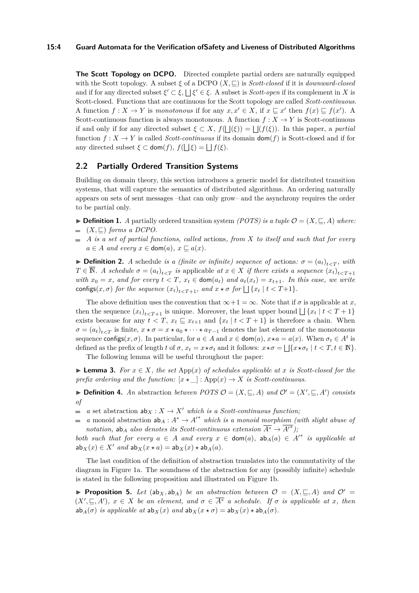#### **15:4 Guard Automata for the Verification ofSafety and Liveness of Distributed Algorithms**

**The Scott Topology on DCPO.** Directed complete partial orders are naturally equipped with the Scott topology. A subset  $\xi$  of a DCPO  $(X, \subseteq)$  is *Scott-closed* if it is *downward-closed* and if for any directed subset  $\xi' \subset \xi$ ,  $\Box \xi' \in \xi$ . A subset is *Scott-open* if its complement in *X* is Scott-closed. Functions that are continuous for the Scott topology are called *Scott-continuous*. A function  $f: X \to Y$  is *monotonous* if for any  $x, x' \in X$ , if  $x \sqsubseteq x'$  then  $f(x) \sqsubseteq f(x')$ . A Scott-continuous function is always monotonous. A function  $f: X \to Y$  is Scott-continuous if and only if for any directed subset  $\xi \subset X$ ,  $f(\Box(\xi)) = \Box(f(\xi))$ . In this paper, a *partial* function  $f: X \to Y$  is called *Scott-continuous* if its domain  $\text{dom}(f)$  is Scott-closed and if for any directed subset  $\xi \subset \text{dom}(f)$ ,  $f(\bigsqcup \xi) = \bigsqcup f(\xi)$ .

# **2.2 Partially Ordered Transition Systems**

Building on domain theory, this section introduces a generic model for distributed transition systems, that will capture the semantics of distributed algorithms. An ordering naturally appears on sets of sent messages –that can only grow– and the asynchrony requires the order to be partial only.

- ▶ **Definition 1.** *A* partially ordered transition system *(POTS) is a tuple*  $\mathcal{O} = (X, \sqsubset A)$  *where:*
- $( X, ⊆ )$  *forms a DCPO.*
- *A is a set of partial functions, called* actions*, from X to itself and such that for every*  $\mathbf{r}$  $a \in A$  *and every*  $x \in \text{dom}(a)$ ,  $x \sqsubseteq a(x)$ .

**• Definition 2.** *A* schedule *is a (finite or infinite) sequence of* actions:  $\sigma = (a_t)_{t \le T}$ , with  $T \in \overline{\mathbb{N}}$ . A schedule  $\sigma = (a_t)_{t \le T}$  is applicable at  $x \in X$  if there exists a sequence  $(x_t)_{t \le T+1}$ *with*  $x_0 = x$ *, and for every*  $t < T$ *,*  $x_t \in \text{dom}(a_t)$  *and*  $a_t(x_t) = x_{t+1}$ *. In this case, we write* configs( $x, \sigma$ ) for the sequence  $(x_t)_{t \le T+1}$ , and  $x \star \sigma$  for  $\Box \{x_t | t \le T+1\}$ .

The above definition uses the convention that  $\infty+1=\infty$ . Note that if  $\sigma$  is applicable at x, then the sequence  $(x_t)_{t \le T+1}$  is unique. Moreover, the least upper bound  $\bigcup \{x_t | t \le T+1\}$ exists because for any  $t < T$ ,  $x_t \subseteq x_{t+1}$  and  $\{x_t | t < T + 1\}$  is therefore a chain. When  $\sigma = (a_t)_{t \le T}$  is finite,  $x \star \sigma = x \star a_0 \star \cdots \star a_{T-1}$  denotes the last element of the monotonous sequence configs $(x, \sigma)$ . In particular, for  $a \in A$  and  $x \in \text{dom}(a)$ ,  $x \star a = a(x)$ . When  $\sigma_t \in A^t$  is defined as the prefix of length *t* of  $\sigma$ ,  $x_t = x \star \sigma_t$  and it follows:  $x \star \sigma = \bigsqcup \{x \star \sigma_t | t < T, t \in \mathbb{N}\}.$ 

The following lemma will be useful throughout the paper:

<span id="page-3-2"></span>▶ **Lemma 3.** *For*  $x \in X$ *, the set* App(*x*) *of schedules applicable at x is Scott-closed for the prefix ordering and the function:*  $[x \star \_]: App(x) \to X$  *is Scott-continuous.* 

<span id="page-3-0"></span>▶ **Definition 4.** An abstraction *between POTS*  $\mathcal{O} = (X, \subseteq, A)$  *and*  $\mathcal{O}' = (X', \subseteq, A')$  *consists of*

**a** set abstraction  $ab_X : X \to X'$  which is a Scott-continuous function;

*a* monoid abstraction  $ab_A: A^* \to A'^*$  which is a monoid morphism (with slight abuse of  $\overline{\phantom{a}}$ *notation,* ab<sub>*A*</sub> *also denotes its Scott-continuous extension*  $\overline{A^*} \to \overline{A'}^*$ *)*;

*both such that for every*  $a \in A$  *and every*  $x \in \text{dom}(a)$ *,*  $ab_A(a) \in A'^*$  *is applicable at* ab<sub>*X*</sub>(*x*)  $\in$  *X' and* ab<sub>*X*</sub>(*x*  $\star$  *a*) = ab<sub>*X*</sub>(*x*)  $\star$  ab<sub>*A*</sub>(*a*)*.* 

The last condition of the definition of abstraction translates into the commutativity of the diagram in Figure [1a.](#page-4-1) The soundness of the abstraction for any (possibly infinite) schedule is stated in the following proposition and illustrated on Figure [1b.](#page-4-1)

<span id="page-3-1"></span>▶ **Proposition 5.** Let  $(ab_{X}, ab_{A})$  be an abstraction between  $\mathcal{O} = (X, \sqsubset A)$  and  $\mathcal{O}' = \emptyset$  $(X', \subseteq, A')$ ,  $x \in X$  be an element, and  $\sigma \in \overline{A^*}$  a schedule. If  $\sigma$  is applicable at x, then ab<sub>*A*</sub>( $\sigma$ ) *is applicable at* ab<sub>*X*</sub>( $x$ ) *and* ab<sub>*X*</sub>( $x \star \sigma$ ) = ab<sub>*X*</sub>( $x$ )  $\star$  ab<sub>*A*</sub>( $\sigma$ )*.*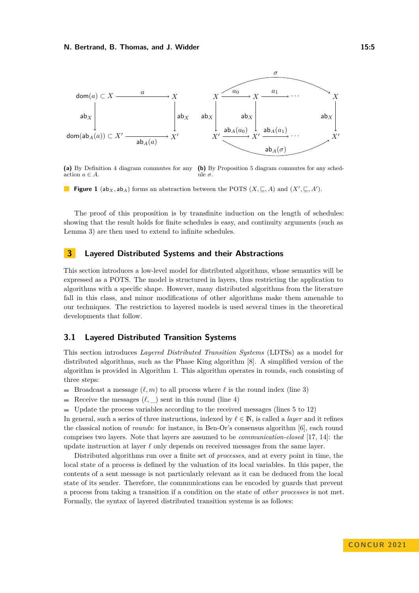<span id="page-4-1"></span>

**(a)** By Definition [4](#page-3-0) diagram commutes for any **(b)** By Proposition [5](#page-3-1) diagram commutes for any schedaction  $a \in A$ . ule *σ*.

**Figure 1** (ab<sub>*X*</sub>, ab<sub>*A*</sub>) forms an abstraction between the POTS (*X*,  $\subseteq$ , *A*) and (*X*<sup>*'*</sup>,  $\subseteq$ , *A*<sup>'</sup>).

The proof of this proposition is by transfinite induction on the length of schedules: showing that the result holds for finite schedules is easy, and continuity arguments (such as Lemma [3\)](#page-3-2) are then used to extend to infinite schedules.

## <span id="page-4-0"></span>**3 Layered Distributed Systems and their Abstractions**

This section introduces a low-level model for distributed algorithms, whose semantics will be expressed as a POTS. The model is structured in layers, thus restricting the application to algorithms with a specific shape. However, many distributed algorithms from the literature fall in this class, and minor modifications of other algorithms make them amenable to our techniques. The restriction to layered models is used several times in the theoretical developments that follow.

## **3.1 Layered Distributed Transition Systems**

This section introduces *Layered Distributed Transition Systems* (LDTSs) as a model for distributed algorithms, such as the Phase King algorithm [\[8\]](#page-15-13). A simplified version of the algorithm is provided in Algorithm [1.](#page-5-0) This algorithm operates in rounds, each consisting of three steps:

- Broadcast a message  $(\ell, m)$  to all process where  $\ell$  is the round index (line 3)
- Receive the messages  $(\ell, \underline{\hspace{1cm}})$  sent in this round (line 4)  $\sim$
- Update the process variables according to the received messages (lines 5 to 12)

In general, such a series of three instructions, indexed by  $\ell \in \mathbb{N}$ , is called a *layer* and it refines the classical notion of *rounds*: for instance, in Ben-Or's consensus algorithm [\[6\]](#page-15-14), each round comprises two layers. Note that layers are assumed to be *communication-closed* [\[17,](#page-15-4) [14\]](#page-15-15): the update instruction at layer *ℓ* only depends on received messages from the same layer.

Distributed algorithms run over a finite set of *processes*, and at every point in time, the local state of a process is defined by the valuation of its local variables. In this paper, the contents of a sent message is not particularly relevant as it can be deduced from the local state of its sender. Therefore, the communications can be encoded by guards that prevent a process from taking a transition if a condition on the state of *other processes* is not met. Formally, the syntax of layered distributed transition systems is as follows: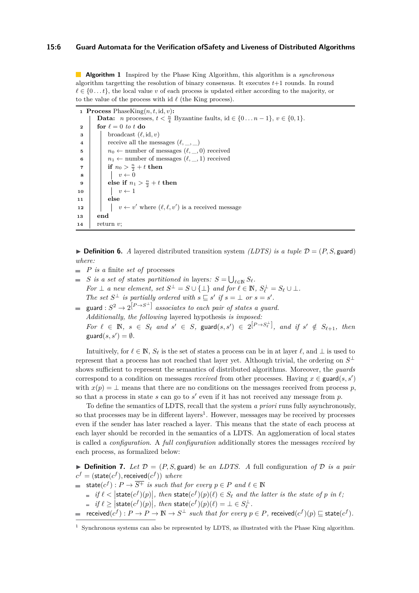#### **15:6 Guard Automata for the Verification ofSafety and Liveness of Distributed Algorithms**

**Algorithm 1** Inspired by the Phase King Algorithm, this algorithm is a *synchronous* algorithm targetting the resolution of binary consensus. It executes *t*+1 rounds. In round  $\ell \in \{0...t\}$ , the local value *v* of each process is updated either according to the majority, or to the value of the process with id *ℓ* (the King process).

```
1 Process PhaseKing(n, t, id, v):
             Data: n processes, t < \frac{n}{4} Byzantine faults, id \in \{0 \dots n-1\}, v \in \{0,1\}.
  2 for \ell = 0 to t do
  3 | broadcast (\ell, id, v)4 \vert receive all the messages (\ell, \_, \_)5 \vert n_0 \leftarrow number of messages (\ell, \_, 0) received
  6 \vert n_1 \leftarrow number of messages (\ell, 1) received
  \begin{array}{|c|c|c|}\n\hline\n\textbf{r} & \textbf{r} & \textbf{r} & \textbf{r} & \textbf{r} & \textbf{r} & \textbf{r} & \textbf{r} & \textbf{r} & \textbf{r} & \textbf{r} & \textbf{r} & \textbf{r} & \textbf{r} & \textbf{r} & \textbf{r} & \textbf{r} & \textbf{r} & \textbf{r} & \textbf{r} & \textbf{r} & \textbf{r} & \textbf{r} & \textbf{r} & \textbf{r} & \textbf{r} & \textbf{r} & \textbf{r} & \textbf{r}8 v \leftarrow 0\bullet else if n_1 > \frac{n}{2} + t then
10 \vert \vert v \leftarrow 111 else
12 \vert \vert \vert v \leftarrow v' where (\ell, \ell, v') is a received message
13 end
14 return v;
```
<span id="page-5-0"></span> $\triangleright$  **Definition 6.** *A* layered distributed transition system *(LDTS) is a tuple*  $\mathcal{D} = (P, S, \text{guard})$ *where:*

- m. *P is a* finite *set of* processes
- *S is a set of states partitioned in layers:*  $S = \bigcup_{\ell \in \mathbb{N}} S_{\ell}$ . *For*  $\perp$  *a new element, set*  $S^{\perp} = S \cup \{\perp\}$  *and for*  $\ell \in \mathbb{N}$ ,  $S_{\ell}^{\perp} = S_{\ell} \cup \perp$ *. The set*  $S^{\perp}$  *is partially ordered with*  $s \sqsubseteq s'$  *if*  $s = \perp$  *or*  $s = s'$ *.*
- guard :  $S^2 \rightarrow 2^{[P \rightarrow S^{\perp}]}$  *associates to each pair of states a guard. Additionally, the following* layered hypothesis *is imposed:* For  $\ell \in \mathbb{N}$ ,  $s \in S_{\ell}$  and  $s' \in S$ , guard $(s, s') \in 2^{[P \rightarrow S_{\ell}^{\perp}]}$ , and if  $s' \notin S_{\ell+1}$ , then  $\text{guard}(s, s') = \emptyset.$

Intuitively, for  $\ell \in \mathbb{N}$ ,  $S_{\ell}$  is the set of states a process can be in at layer  $\ell$ , and  $\bot$  is used to represent that a process has not reached that layer yet. Although trivial, the ordering on  $S^{\perp}$ shows sufficient to represent the semantics of distributed algorithms. Moreover, the *guards* correspond to a condition on messages *received* from other processes. Having  $x \in \text{guard}(s, s')$ with  $x(p) = \perp$  means that there are no conditions on the messages received from process p, so that a process in state *s* can go to *s* ′ even if it has not received any message from *p*.

To define the semantics of LDTS, recall that the system *a priori* runs fully asynchronously, so that processes may be in different layers<sup>[1](#page-5-1)</sup>. However, messages may be received by processes even if the sender has later reached a layer. This means that the state of each process at each layer should be recorded in the semantics of a LDTS. An agglomeration of local states is called a *configuration*. A *full configuration* additionally stores the messages *received* by each process, as formalized below:

 $\triangleright$  **Definition 7.** Let  $\mathcal{D} = (P, S, \text{guard})$  be an LDTS. A full configuration of  $\mathcal{D}$  is a pair  $c^f = (\textsf{state}(c^f), \textsf{received}(c^f))$  *where* 

$$
\implies \mathsf{state}(c^f) : P \to \overline{S^+} \text{ is such that for every } p \in P \text{ and } \ell \in \mathbb{N}
$$

- $if \ell < \left| \text{state}(c^f)(p) \right|$ , then  $\text{state}(c^f)(p)(\ell) \in S_\ell$  and the latter is the state of *p* in  $\ell$ ;
- $if \ell \geq |\textsf{state}(c^f)(p)|, \text{ then } \textsf{state}(c^f)(p)(\ell) = \bot \in S_{\ell}^{\perp}.$
- received(*c f* ) : *P* → *P* → N → *S* <sup>⊥</sup> *such that for every p* ∈ *P,* received(*c f* )(*p*) ⊑ state(*c f* )*.*

<span id="page-5-1"></span><sup>1</sup> Synchronous systems can also be represented by LDTS, as illustrated with the Phase King algorithm.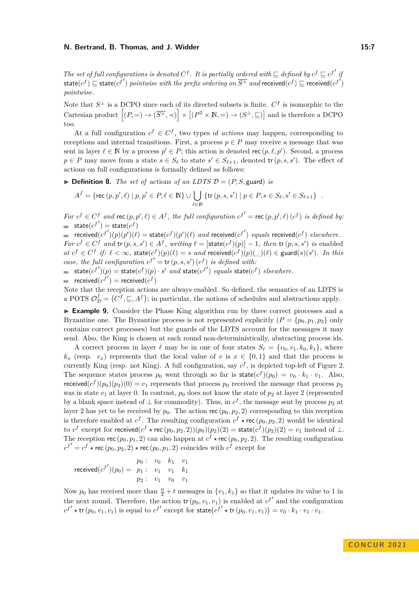*The set of full configurations is denoted*  $C^f$ . It is partially ordered with  $\subseteq$  defined by  $c^f \subseteq c^{f'}$  if  $\textsf{state}(c^f) \sqsubseteq \textsf{state}(c^{f'})$  *pointwise with the prefix ordering on*  $\overline{S^+}$  *and* received $(c^f) \sqsubseteq \textsf{received}(c^{f'})$ *pointwise.*

Note that  $S^{\perp}$  is a DCPO since each of its directed subsets is finite.  $C^{f}$  is isomorphic to the Cartesian product  $[(P, =) \to (\overline{S^+}, \prec)] \times [(P^2 \times \mathbb{N}, =) \to (S^{\perp}, \subseteq)]$  and is therefore a DCPO too.

At a full configuration  $c^f \in C^f$ , two types of *actions* may happen, corresponding to receptions and internal transitions. First, a process  $p \in P$  may receive a message that was sent in layer  $\ell \in \mathbb{N}$  by a process  $p' \in P$ ; this action is denoted rec  $(p, \ell, p')$ . Second, a process  $p \in P$  may move from a state  $s \in S_\ell$  to state  $s' \in S_{\ell+1}$ , denoted  $\text{tr}(p, s, s')$ . The effect of actions on full configurations is formally defined as follows:

<span id="page-6-0"></span> $\triangleright$  **Definition 8.** *The set of* actions *of an LDTS*  $\mathcal{D} = (P, S, \text{guard})$  *is* 

$$
A^{f} = \{ \text{rec}(p, p', \ell) \mid p, p' \in P, \ell \in \mathbb{N} \} \cup \bigcup_{\ell \in \mathbb{N}} \{ \text{tr}(p, s, s') \mid p \in P, s \in S_{\ell}, s' \in S_{\ell+1} \} .
$$

For  $c^f \in C^f$  and  $\text{rec}(p, p', \ell) \in A^f$ , the full configuration  $c^{f'} = \text{rec}(p, p', \ell) (c^f)$  is defined by:  $\mathsf{state}(c^{f'}) = \mathsf{state}(c^f)$ 

 ${\rm rcceived}(c^{f'}) (p)(p')(\ell) = {\rm state}(c^f)(p')(\ell)$  and  ${\rm received}(c^{f'})$  equals  ${\rm received}(c^f)$  elsewhere. For  $c^f \in C^f$  and  $tr(p, s, s') \in A^f$ , writing  $\ell = |\textsf{state}(c^f)(p)| - 1$ , then  $tr(p, s, s')$  is enabled at  $c^f \in C^f$  if:  $\ell < \infty$ , state $(c^f)(p)(\ell) = s$  and received $(c^f)(p)(\ell) \in \text{guard}(s)(s')$ . In this *case, the full configuration*  $c^{f'} = \text{tr}(p, s, s')(c^f)$  *is defined with:* 

 $\textsf{state}(c^{f\prime})(p) = \textsf{state}(c^{f})(p) \cdot s'$  *and*  $\textsf{state}(c^{f\prime})$  *equals*  $\textsf{state}(c^{f})$  *elsewhere.*  ${\sf received}(c^{f'}) = {\sf received}(c^f)$ 

Note that the reception actions are always enabled. So defined, the semantics of an LDTS is a POTS  $\mathcal{O}_{\mathcal{D}}^f = (C^f, \sqsubseteq, A^f)$ ; in particular, the notions of schedules and abstractions apply.

<span id="page-6-1"></span>▶ **Example 9.** Consider the Phase King algorithm run by three correct processes and a Byzantine one. The Byzantine process is not represented explicitly  $(P = \{p_0, p_1, p_2\}$  only contains correct processes) but the guards of the LDTS account for the messages it may send. Also, the King is chosen at each round non-deterministically, abstracting process ids.

A correct process in layer  $\ell$  may be in one of four states  $S_\ell = \{v_0, v_1, k_0, k_1\}$ , where  $k_x$  (resp.  $v_x$ ) represents that the local value of *v* is  $x \in \{0,1\}$  and that the process is currently King (resp. not King). A full configuration, say  $c^f$ , is depicted top-left of Figure [2.](#page-7-0) The sequence states process  $p_0$  went through so far is state $(c^f)(p_0) = v_0 \cdot k_1 \cdot v_1$ . Also, received $(c^{f})(p_0)(p_2)(0) = v_1$  represents that process  $p_0$  received the message that process  $p_2$ was in state  $v_1$  at layer 0. In contrast,  $p_0$  does not know the state of  $p_2$  at layer 2 (represented by a blank space instead of  $\perp$  for commodity). Thus, in  $c^f$ , the message sent by process  $p_2$  at layer 2 has yet to be received by  $p_0$ . The action rec  $(p_0, p_2, 2)$  corresponding to this reception is therefore enabled at  $c^f$ . The resulting configuration  $c^f \star \text{rec}(p_0, p_2, 2)$  would be identical to  $c^f$  except for received $(c^f \star \text{rec}(p_0, p_2, 2))(p_0)(p_2)(2) = \text{state}(c^f)(p_2)(2) = v_1$  instead of  $\bot$ . The reception rec  $(p_0, p_1, 2)$  can also happen at  $c^f \star \text{rec} (p_0, p_2, 2)$ . The resulting configuration  $c^{f'} = c^f \star \text{rec}(p_0, p_2, 2) \star \text{rec}(p_0, p_1, 2)$  coincides with  $c^f$  except for

$$
\text{received}(c^{f'})(p_0) = \begin{array}{c c c c c} p_0: & v_0 & k_1 & v_1 \\ p_1: & v_1 & v_1 & k_1 \\ p_2: & v_1 & v_0 & v_1 \end{array}
$$

Now  $p_0$  has received more than  $\frac{n}{2} + t$  messages in  $\{v_1, k_1\}$  so that it updates its value to 1 in the next round. Therefore, the action  $tr(p_0, v_1, v_1)$  is enabled at  $c^{f'}$  and the configuration  $c^{f'} \star \textsf{tr}(p_0, v_1, v_1)$  is equal to  $c^{f'}$  except for state $(c^{f'} \star \textsf{tr}(p_0, v_1, v_1)) = v_0 \cdot k_1 \cdot v_1 \cdot v_1$ .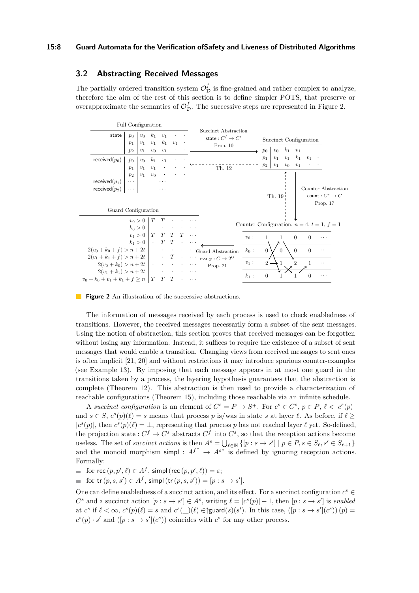## **3.2 Abstracting Received Messages**

The partially ordered transition system  $\mathcal{O}_{\mathcal{D}}^{f}$  is fine-grained and rather complex to analyze, therefore the aim of the rest of this section is to define simpler POTS, that preserve or overapproximate the semantics of  $\mathcal{O}_{\mathcal{D}}^f$ . The successive steps are represented in Figure [2.](#page-7-0)

<span id="page-7-0"></span>

**Figure 2** An illustration of the successive abstractions.

The information of messages received by each process is used to check enabledness of transitions. However, the received messages necessarily form a subset of the sent messages. Using the notion of abstraction, this section proves that received messages can be forgotten without losing any information. Instead, it suffices to require the existence of a subset of sent messages that would enable a transition. Changing views from received messages to sent ones is often implicit [\[21,](#page-16-8) [20\]](#page-16-5) and without restrictions it may introduce spurious counter-examples (see Example [13\)](#page-8-2). By imposing that each message appears in at most one guard in the transitions taken by a process, the layering hypothesis guarantees that the abstraction is complete (Theorem [12\)](#page-8-1). This abstraction is then used to provide a characterization of reachable configurations (Theorem [15\)](#page-9-0), including those reachable via an infinite schedule.

A *succinct configuration* is an element of  $C^s = P \rightarrow \overline{S^+}$ . For  $c^s \in C^s$ ,  $p \in P$ ,  $\ell < |c^s(p)|$ and  $s \in S$ ,  $c^s(p)(\ell) = s$  means that process *p* is/was in state *s* at layer  $\ell$ . As before, if  $\ell \geq$  $|c^{s}(p)|$ , then  $c^{s}(p)(\ell) = \bot$ , representing that process *p* has not reached layer  $\ell$  yet. So-defined, the projection state :  $C^f \to C^s$  abstracts  $C^f$  into  $C^s$ , so that the reception actions become useless. The set of *succinct actions* is then  $A^s = \bigcup_{\ell \in \mathbb{N}} \{ [p : s \to s'] \mid p \in P, s \in S_\ell, s' \in S_{\ell+1} \}$ and the monoid morphism simpl :  $A^{f^*} \rightarrow A^{s^*}$  is defined by ignoring reception actions. Formally:

for  $\text{rec}(p, p', \ell) \in A^f$ , simpl $(\text{rec}(p, p', \ell)) = \varepsilon$ ;

$$
\qquad \qquad \text{for tr }(p,s,s') \in A^f\text{, simply (tr }(p,s,s'))=[p:s\rightarrow s'].
$$

One can define enabledness of a succinct action, and its effect. For a succinct configuration  $c^s \in$  $C^s$  and a succinct action  $[p : s \to s'] \in A^s$ , writing  $\ell = |c^s(p)| - 1$ , then  $[p : s \to s']$  is *enabled* at  $c^s$  if  $\ell < \infty$ ,  $c^s(p)(\ell) = s$  and  $c^s(\ell)$   $(\ell) \in \mathcal{E}$  (guard $(s)(s')$ ). In this case,  $([p:s \to s'](c^s))(p) =$  $c^s(p) \cdot s'$  and  $([p : s \to s'](c^s))$  coincides with  $c^s$  for any other process.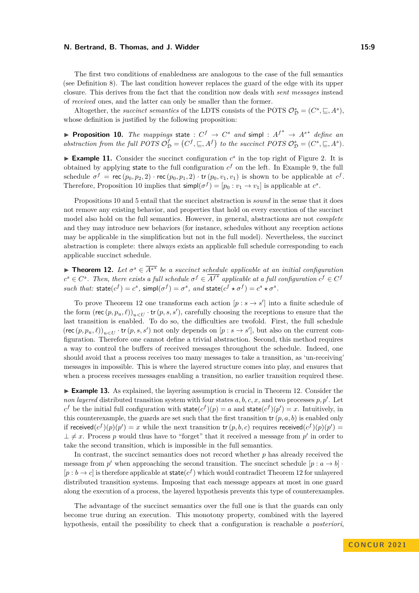The first two conditions of enabledness are analogous to the case of the full semantics (see Definition [8\)](#page-6-0). The last condition however replaces the guard of the edge with its upper closure. This derives from the fact that the condition now deals with *sent messages* instead of *received* ones, and the latter can only be smaller than the former.

Altogether, the *succinct semantics* of the LDTS consists of the POTS  $\mathcal{O}_{\mathcal{D}}^s = (C^s, \sqsubseteq, A^s)$ , whose definition is justified by the following proposition:

<span id="page-8-0"></span>▶ **Proposition 10.** *The mappings* state :  $C^f$  →  $C^s$  *and* simpl :  $A^{f^*}$  →  $A^{s^*}$  *define an abstraction from the full POTS*  $\mathcal{O}_{\mathcal{D}}^f = (C^f, \sqsubseteq, A^f)$  *to the succinct POTS*  $\mathcal{O}_{\mathcal{D}}^s = (C^s, \sqsubseteq, A^s)$ *.* 

 $\blacktriangleright$  **Example 11.** Consider the succinct configuration  $c^s$  in the top right of Figure [2.](#page-7-0) It is obtained by applying state to the full configuration  $c<sup>f</sup>$  on the left. In Example [9,](#page-6-1) the full schedule  $\sigma^f = \text{rec}(p_0, p_2, 2) \cdot \text{rec}(p_0, p_1, 2) \cdot \text{tr}(p_0, v_1, v_1)$  is shown to be applicable at  $c^f$ . Therefore, Proposition [10](#page-8-0) implies that  $\textsf{simp}(\sigma^f) = [p_0 : v_1 \to v_1]$  is applicable at  $c^s$ .

Propositions [10](#page-8-0) and [5](#page-3-1) entail that the succinct abstraction is *sound* in the sense that it does not remove any existing behavior, and properties that hold on every execution of the succinct model also hold on the full semantics. However, in general, abstractions are not *complete* and they may introduce new behaviors (for instance, schedules without any reception actions may be applicable in the simplification but not in the full model). Nevertheless, the succinct abstraction is complete: there always exists an applicable full schedule corresponding to each applicable succinct schedule.

<span id="page-8-1"></span>**► Theorem 12.** Let  $\sigma^s \in \overline{A^{s^*}}$  be a succinct schedule applicable at an initial configuration  $c^s \in C^s$ . Then, there exists a full schedule  $\sigma^f \in \overline{A^{f^*}}$  applicable at a full configuration  $c^f \in C^f$ *such that:*  $\text{state}(c^f) = c^s$ ,  $\text{simple}(\sigma^f) = \sigma^s$ ,  $and \text{ state}(c^f \star \sigma^f) = c^s \star \sigma^s$ .

To prove Theorem [12](#page-8-1) one transforms each action  $[p : s \rightarrow s']$  into a finite schedule of the form  $(\text{rec}(p, p_u, \ell))_{u \lt U}$  · tr $(p, s, s')$ , carefully choosing the receptions to ensure that the last transition is enabled. To do so, the difficulties are twofold. First, the full schedule  $(\text{rec}(p, p_u, \ell))_{u \leq U} \cdot \text{tr}(p, s, s')$  not only depends on  $[p : s \to s']$ , but also on the current configuration. Therefore one cannot define a trivial abstraction. Second, this method requires a way to control the buffers of received messages throughout the schedule. Indeed, one should avoid that a process receives too many messages to take a transition, as 'un-receiving' messages in impossible. This is where the layered structure comes into play, and ensures that when a process receives messages enabling a transition, no earlier transition required these.

<span id="page-8-2"></span>▶ **Example 13.** As explained, the layering assumption is crucial in Theorem [12.](#page-8-1) Consider the *non layered* distributed transition system with four states  $a, b, c, x$ , and two processes  $p, p'$ . Let  $c^f$  be the initial full configuration with state $(c^f)(p) = a$  and state $(c^f)(p') = x$ . Intuitively, in this counterexample, the guards are set such that the first transition  $tr(p, a, b)$  is enabled only if received $(c^f)(p)(p') = x$  while the next transition tr(*p*, *b*, *c*) requires received $(c^f)(p)(p') =$  $\perp \neq x$ . Process *p* would thus have to "forget" that it received a message from *p*' in order to take the second transition, which is impossible in the full semantics.

In contrast, the succinct semantics does not record whether *p* has already received the message from  $p'$  when approaching the second transition. The succinct schedule  $[p : a \rightarrow b]$ .  $[p:b \to c]$  is therefore applicable at state $(c^f)$  which would contradict Theorem [12](#page-8-1) for unlayered distributed transition systems. Imposing that each message appears at most in one guard along the execution of a process, the layered hypothesis prevents this type of counterexamples.

The advantage of the succinct semantics over the full one is that the guards can only become true during an execution. This monotony property, combined with the layered hypothesis, entail the possibility to check that a configuration is reachable *a posteriori*,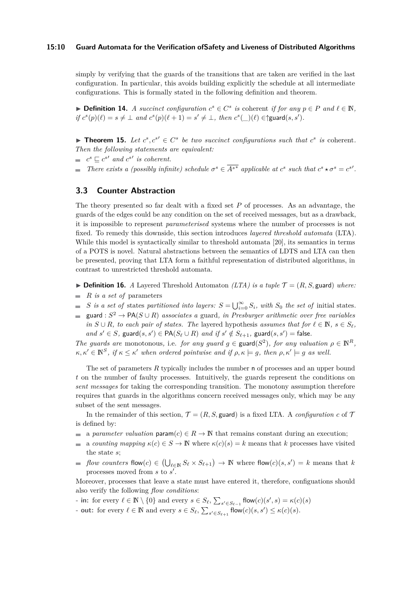#### **15:10 Guard Automata for the Verification ofSafety and Liveness of Distributed Algorithms**

simply by verifying that the guards of the transitions that are taken are verified in the last configuration. In particular, this avoids building explicitly the schedule at all intermediate configurations. This is formally stated in the following definition and theorem.

▶ **Definition 14.** *A succinct configuration*  $c^s \in C^s$  *is* coherent *if for any*  $p \in P$  *and*  $l \in \mathbb{N}$ *,*  $if c^{s}(p)(\ell) = s \neq \bot \text{ and } c^{s}(p)(\ell + 1) = s' \neq \bot, \text{ then } c^{s}(\bot)(\ell) \in \text{d}(\mathbf{g}, s').$ 

<span id="page-9-0"></span>▶ **Theorem 15.** Let  $c^s, c^{s'} \in C^s$  be two succinct configurations such that  $c^s$  is coherent. *Then the following statements are equivalent:*

- $c^s \sqsubseteq c^{s'}$  and  $c^{s'}$  is coherent.
- *There exists a (possibly infinite) schedule*  $\sigma^s \in \overline{A^{s^*}}$  applicable at  $c^s$  such that  $c^s \star \sigma^s = c^{s'}$ .

# **3.3 Counter Abstraction**

The theory presented so far dealt with a fixed set *P* of processes. As an advantage, the guards of the edges could be any condition on the set of received messages, but as a drawback, it is impossible to represent *parameterised* systems where the number of processes is not fixed. To remedy this downside, this section introduces *layered threshold automata* (LTA). While this model is syntactically similar to threshold automata [\[20\]](#page-16-5), its semantics in terms of a POTS is novel. Natural abstractions between the semantics of LDTS and LTA can then be presented, proving that LTA form a faithful representation of distributed algorithms, in contrast to unrestricted threshold automata.

 $\triangleright$  **Definition 16.** *A* Layered Threshold Automaton *(LTA) is a tuple*  $\mathcal{T} = (R, S, \text{guard})$  *where:* 

- $R$  *is a set of* parameters
- *S is a set of* states *partitioned into layers:*  $S = \bigcup_{i=0}^{\infty} S_i$ *, with*  $S_0$  *the set of* initial states.
- $\equiv$ guard :  $S^2 \to PA(S \cup R)$  *associates a* guard, in Presburger arithmetic over free variables *in*  $S \cup R$ *, to each pair of states. The layered hypothesis <i>assumes that for*  $\ell \in \mathbb{N}$ *, s* ∈ *S*<sub>*ℓ*</sub>*,*  $and \ s' \in S$ ,  $\text{guard}(s, s') \in \text{PA}(S_\ell \cup R) \text{ and if } s' \notin S_{\ell+1}, \text{ guard}(s, s') = \text{false}.$

*The guards are* monotonous, i.e. *for any guard*  $g \in \text{guard}(S^2)$ , *for any valuation*  $\rho \in \mathbb{N}^R$ ,  $\kappa, \kappa' \in \mathbb{N}^S$ , if  $\kappa \leq \kappa'$  when ordered pointwise and if  $\rho, \kappa \models g$ , then  $\rho, \kappa' \models g$  as well.

The set of parameters *R* typically includes the number n of processes and an upper bound *t* on the number of faulty processes. Intuitively, the guards represent the conditions on *sent messages* for taking the corresponding transition. The monotony assumption therefore requires that guards in the algorithms concern received messages only, which may be any subset of the sent messages.

In the remainder of this section,  $\mathcal{T} = (R, S, \text{guard})$  is a fixed LTA. A *configuration*  $c$  of  $\mathcal{T}$ is defined by:

- a *parameter valuation*  $\mathsf{param}(c) \in R \to \mathbb{N}$  that remains constant during an execution;
- a *counting mapping*  $\kappa(c) \in S \to \mathbb{N}$  where  $\kappa(c)(s) = k$  means that *k* processes have visited  $\overline{\phantom{a}}$ the state *s*;
- *flow counters* flow(*c*)  $\in$   $(\bigcup_{\ell \in \mathbb{N}} S_{\ell} \times S_{\ell+1}) \rightarrow \mathbb{N}$  where flow(*c*)(*s, s'*) = *k* means that *k* processes moved from *s* to *s* ′ .

Moreover, processes that leave a state must have entered it, therefore, configuations should also verify the following *flow conditions*:

**-** in: for every  $\ell \in \mathbb{N} \setminus \{0\}$  and every  $s \in S_{\ell}, \sum_{s' \in S_{\ell-1}} \text{flow}(c)(s', s) = \kappa(c)(s)$ 

**- out:** for every  $\ell \in \mathbb{N}$  and every  $s \in S_{\ell}, \sum_{s' \in S_{\ell+1}} \text{flow}(c)(s, s') \leq \kappa(c)(s)$ .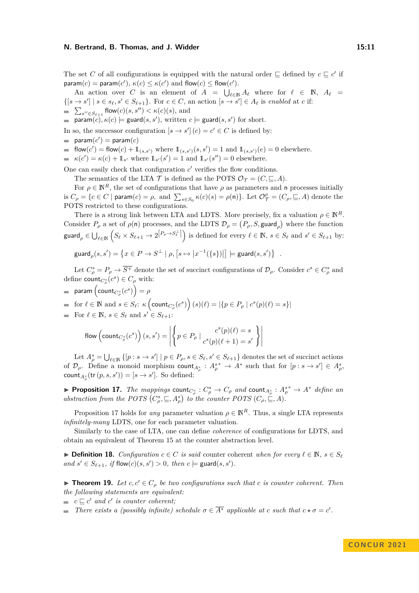The set *C* of all configurations is equipped with the natural order  $\subseteq$  defined by  $c \subseteq c'$  if  $\mathsf{param}(c) = \mathsf{param}(c'), \, \kappa(c) \leq \kappa(c') \text{ and } \mathsf{flow}(c) \leq \mathsf{flow}(c').$ 

An action over *C* is an element of  $A = \bigcup_{\ell \in \mathbb{N}} A_{\ell}$  where for  $\ell \in \mathbb{N}$ ,  $A_{\ell} =$  $\{ [s \to s'] \mid s \in s_\ell, s' \in S_{\ell+1} \}.$  For  $c \in C$ , an action  $[s \to s'] \in A_\ell$  is *enabled* at *c* if:  $\sum_{s'' \in S_{\ell+1}}$  flow $(c)(s, s'') < \kappa(c)(s)$ , and

 $\mathsf{param}(c), \kappa(c) \models \mathsf{guard}(s, s'), \text{ written } c \models \mathsf{guard}(s, s') \text{ for short.}$ 

In so, the successor configuration  $[s \to s']$   $(c) = c' \in C$  is defined by:

- $\mathsf{param}(c') = \mathsf{param}(c)$
- flow(*c'*) = flow(*c*) +  $\mathbb{1}_{(s,s')}$  where  $\mathbb{1}_{(s,s')}(s,s') = 1$  and  $\mathbb{1}_{(s,s')}(e) = 0$  elsewhere.
- $\kappa(c') = \kappa(c) + 1$ <sub>s</sub>' where  $1_{s'}(s') = 1$  and  $1_{s'}(s'') = 0$  elsewhere.

One can easily check that configuration  $c'$  verifies the flow conditions.

The semantics of the LTA  $\mathcal T$  is defined as the POTS  $\mathcal O_{\mathcal T} = (C, \sqsubseteq, A)$ .

For  $\rho \in \mathbb{N}^R$ , the set of configurations that have  $\rho$  as parameters and n processes initially is  $C_{\rho} = \{c \in C \mid \text{param}(c) = \rho, \text{ and } \sum_{s \in S_0} \kappa(c)(s) = \rho(\textbf{n})\}.$  Let  $\mathcal{O}_{\mathcal{T}}^{\rho} = (C_{\rho}, \sqsubseteq, A)$  denote the POTS restricted to these configurations.

There is a strong link between LTA and LDTS. More precisely, fix a valuation  $\rho \in \mathbb{N}^R$ . Consider  $P_\rho$  a set of  $\rho(\mathsf{n})$  processes, and the LDTS  $\mathcal{D}_\rho = (P_\rho, S, \text{guard}_\rho)$  where the function  $\mathsf{guard}_\rho \in \bigcup_{\ell \in \mathbb{N}} \left( S_\ell \times S_{\ell+1} \to 2^{\left[ P_\rho \to S^{\perp}_\ell \right]} \right) \text{ is defined for every } \ell \in \mathbb{N}, \, s \in S_\ell \text{ and } s' \in S_{\ell+1} \text{ by: }$ 

$$
\text{guard}_{\rho}(s, s') = \left\{ x \in P \to S^{\perp} \mid \rho, \left[ s \mapsto \left| x^{-1}(\{s\} ) \right| \right] \models \text{guard}(s, s') \right\}
$$

Let  $C^s_\rho = P_\rho \to \overline{S^+}$  denote the set of succinct configurations of  $\mathcal{D}_\rho$ . Consider  $c^s \in C^s_\rho$  and define  $\text{count}_{C^s_{\rho}}(c^s) \in C_{\rho}$  with:

*.*

 $\mathsf{param}\left(\mathsf{count}_{C^s_{\rho}}(c^s)\right)=\rho$ 

 $\text{for } \ell \in \mathbb{N} \text{ and } s \in S_{\ell}: \kappa \left( \text{count}_{C_{\rho}^{s}}(c^{s}) \right) (s)(\ell) = |\{p \in P_{\rho} \mid c^{s}(p)(\ell) = s\}|$ 

For  $\ell \in \mathbb{N}$ ,  $s \in S_{\ell}$  and  $s' \in S_{\ell+1}$ :

flow 
$$
\left(\text{count}_{C_{\rho}^s}(c^s)\right)(s, s') = \left| \left\{ p \in P_{\rho} \mid \frac{c^s(p)(\ell) = s}{c^s(p)(\ell+1) = s'} \right\} \right|
$$

Let  $A_{\rho}^{s} = \bigcup_{\ell \in \mathbb{N}} \{ [p : s \to s'] \mid p \in P_{\rho}, s \in S_{\ell}, s' \in S_{\ell+1} \}$  denotes the set of succinct actions of  $\mathcal{D}_{\rho}$ . Define a monoid morphism count<sub> $A_{\rho}^s$ </sub> :  $A_{\rho}^{s*} \to A^*$  such that for  $[p:s \to s'] \in A_{\rho}^s$ ,  $\text{count}_{A^s_{\rho}}(\text{tr}(p, s, s')) = [s \to s']$ . So defined:

<span id="page-10-0"></span>**Proposition 17.** *The mappings* count $C^s_\rho$ :  $C^s_\rho \to C_\rho$  *and* count $A^s_\rho$ :  $A^s_\rho \to A^*$  *define an abstraction from the POTS*  $(C_{\rho}^{s}, \subseteq, A_{\rho}^{s})$  *to the counter POTS*  $(C_{\rho}, \subseteq, A)$ *.* 

Proposition [17](#page-10-0) holds for *any* parameter valuation  $\rho \in \mathbb{N}^R$ . Thus, a single LTA represents *infinitely-many* LDTS, one for each parameter valuation.

Similarly to the case of LTA, one can define *coherence* of configurations for LDTS, and obtain an equivalent of Theorem [15](#page-9-0) at the counter abstraction level.

▶ **Definition 18.** *Configuration*  $c \in C$  *is said* counter coherent *when for every*  $\ell \in \mathbb{N}$ ,  $s \in S_{\ell}$  $and \ s' \in S_{\ell+1}, \text{ if flow}(c)(s, s') > 0, \text{ then } c \models \text{guard}(s, s').$ 

<span id="page-10-1"></span>▶ **Theorem 19.** *Let*  $c, c' \in C_\rho$  *be two configurations such that c is counter coherent. Then the following statements are equivalent:*

 $c \sqsubseteq c'$  *and*  $c'$  *is counter coherent;* 

*There exists a (possibly infinite) schedule*  $\sigma \in \overline{A^*}$  *applicable at c such that*  $c \star \sigma = c'$ .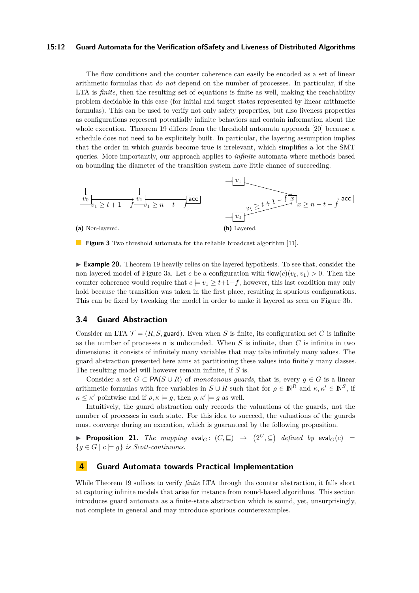#### **15:12 Guard Automata for the Verification ofSafety and Liveness of Distributed Algorithms**

The flow conditions and the counter coherence can easily be encoded as a set of linear arithmetic formulas that *do not* depend on the number of processes. In particular, if the LTA is *finite*, then the resulting set of equations is finite as well, making the reachability problem decidable in this case (for initial and target states represented by linear arithmetic formulas). This can be used to verify not only safety properties, but also liveness properties as configurations represent potentially infinite behaviors and contain information about the whole execution. Theorem [19](#page-10-1) differs from the threshold automata approach [\[20\]](#page-16-5) because a schedule does not need to be explicitely built. In particular, the layering assumption implies that the order in which guards become true is irrelevant, which simplifies a lot the SMT queries. More importantly, our approach applies to *infinite* automata where methods based on bounding the diameter of the transition system have little chance of succeeding.

<span id="page-11-2"></span>

**Figure 3** Two threshold automata for the reliable broadcast algorithm [\[11\]](#page-15-3).

▶ **Example 20.** Theorem [19](#page-10-1) heavily relies on the layered hypothesis. To see that, consider the non layered model of Figure [3a.](#page-11-2) Let *c* be a configuration with  $\text{flow}(c)(v_0, v_1) > 0$ . Then the counter coherence would require that  $c = v_1 > t+1-f$ , however, this last condition may only hold because the transition was taken in the first place, resulting in spurious configurations. This can be fixed by tweaking the model in order to make it layered as seen on Figure [3b.](#page-11-2)

## **3.4 Guard Abstraction**

Consider an LTA  $\mathcal{T} = (R, S, \text{guard})$ . Even when S is finite, its configuration set C is infinite as the number of processes n is unbounded. When *S* is infinite, then *C* is infinite in two dimensions: it consists of infinitely many variables that may take infinitely many values. The guard abstraction presented here aims at partitioning these values into finitely many classes. The resulting model will however remain infinite, if *S* is.

Consider a set  $G \subset \mathsf{PA}(S \cup R)$  of *monotonous guards*, that is, every  $g \in G$  is a linear arithmetic formulas with free variables in  $S \cup R$  such that for  $\rho \in \mathbb{N}^R$  and  $\kappa, \kappa' \in \mathbb{N}^S$ , if  $\kappa \leq \kappa'$  pointwise and if  $\rho, \kappa \models g$ , then  $\rho, \kappa' \models g$  as well.

Intuitively, the guard abstraction only records the valuations of the guards, not the number of processes in each state. For this idea to succeed, the valuations of the guards must converge during an execution, which is guaranteed by the following proposition.

<span id="page-11-1"></span>▶ **Proposition 21.** *The mapping* eval<sub>*G*</sub>:  $(C, \sqsubseteq)$   $\rightarrow$   $(2^G, \subseteq)$  *defined by* eval<sub>*G*</sub>(*c*) =  ${g \in G \mid c \models g}$  *is Scott-continuous.* 

# <span id="page-11-0"></span>**4 Guard Automata towards Practical Implementation**

While Theorem [19](#page-10-1) suffices to verify *finite* LTA through the counter abstraction, it falls short at capturing infinite models that arise for instance from round-based algorithms. This section introduces guard automata as a finite-state abstraction which is sound, yet, unsurprisingly, not complete in general and may introduce spurious counterexamples.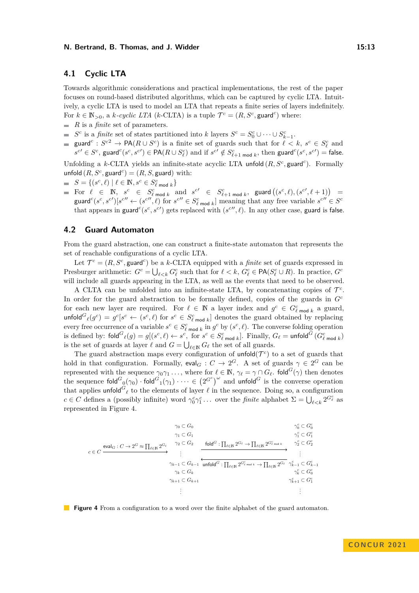## **4.1 Cyclic LTA**

Towards algorithmic considerations and practical implementations, the rest of the paper focuses on round-based distributed algorithms, which can be captured by cyclic LTA. Intuitively, a cyclic LTA is used to model an LTA that repeats a finite series of layers indefinitely. For  $k \in \mathbb{N}_{>0}$ , a *k-cyclic LTA* (*k*-CLTA) is a tuple  $\mathcal{T}^c = (R, S^c, \text{guard}^c)$  where:

- *R* is a *finite* set of parameters.
- *S*<sup>*c*</sup> is a *finite* set of states partitioned into *k* layers  $S^c = S_0^c \cup \cdots \cup S_{k-1}^c$ .
- guard<sup>c</sup>:  $S^{c2} \rightarrow \textsf{PA}(R \cup S^c)$  is a finite set of guards such that for  $\ell < k$ ,  $s^c \in S^c_{\ell}$  and  $s^{c} \in S^c$ , guard $c(s^c, s^{c}) \in \mathsf{PA}(R \cup S^c_{\ell})$  and if  $s^{c'} \notin S^c_{\ell+1 \bmod k}$ , then guard $c(s^c, s^{c'}) = \mathsf{false}.$

Unfolding a *k*-CLTA yields an infinite-state acyclic LTA unfold  $(R, S<sup>c</sup>, \text{guard}^c)$ . Formally unfold  $(R, S^c, \text{guard}^c) = (R, S, \text{guard})$  with:

- $S = \{(s^c, \ell) \mid \ell \in \mathbb{N}, s^c \in S_{\ell \text{ mod } k}^c\}$
- $S = \{ (s', \ell) | l \in \mathbb{N}, s \in S_{\ell \text{ mod } k} \}$ <br>For  $\ell \in \mathbb{N}, s^c \in S_{\ell \text{ mod } k}^c$  and  $s^{c'} \in S_{\ell+1 \text{ mod } k}^c$ , guard  $((s^c, \ell), (s^{c'}, \ell + 1))$ guard<sup>c</sup> $(s^c, s^{c'})[s^{c''} \leftarrow (s^{c''}, \ell)$  for  $s^{c''} \in S_{\ell \text{ mod } k}^c$  meaning that any free variable  $s^{c''} \in S^c$ that appears in guard<sup>c</sup>( $s^c$ ,  $s^{c'}$ ) gets replaced with ( $s^{c''}$ ,  $\ell$ ). In any other case, guard is false.

## **4.2 Guard Automaton**

From the guard abstraction, one can construct a finite-state automaton that represents the set of reachable configurations of a cyclic LTA.

Let  $\mathcal{T}^c = (R, S^c, \text{guard}^c)$  be a *k*-CLTA equipped with a *finite* set of guards expressed in Presburger arithmetic:  $G^c = \bigcup_{\ell \leq k} G^c_{\ell}$  such that for  $\ell \leq k$ ,  $G^c_{\ell} \in \text{PA}(S^c_{\ell} \cup R)$ . In practice,  $G^c$ will include all guards appearing in the LTA, as well as the events that need to be observed.

A CLTA can be unfolded into an infinite-state LTA, by concatenating copies of  $\mathcal{T}^c$ . In order for the guard abstraction to be formally defined, copies of the guards in  $G<sup>c</sup>$ for each new layer are required. For  $\ell \in \mathbb{N}$  a layer index and  $g^c \in G_{\ell \text{ mod } k}^c$  a guard, unfold<sup> $G_{\ell}(g^{c}) = g^{c}[s^{c} \leftarrow (s^{c}, \ell)$  for  $s^{c} \in S_{\ell \text{ mod } k}^{c}]$  denotes the guard obtained by replacing</sup> every free occurrence of a variable  $s^c \in S^c_{\ell \text{ mod } k}$  in  $g^c$  by  $(s^c, \ell)$ . The converse folding operation is defined by:  $\mathsf{fold}^G\ell(g) = g[(s^c, \ell) \leftarrow s^c, \text{ for } s^c \in S^c_{\ell \text{ mod } k}].$  Finally,  $G_{\ell} = \mathsf{unfold}^G(G^c_{\ell \text{ mod } k})$ is the set of guards at layer  $\ell$  and  $G = \bigcup_{\ell \in \mathbb{N}} G_{\ell}$  the set of all guards.

The guard abstraction maps every configuration of  $\text{unfold}(\mathcal{T}^c)$  to a set of guards that hold in that configuration. Formally,  $eval_G: C \to 2^G$ . A set of guards  $\gamma \in 2^G$  can be represented with the sequence  $\gamma_0 \gamma_1 \ldots$ , where for  $\ell \in \mathbb{N}$ ,  $\gamma_\ell = \gamma \cap G_\ell$ . fold  $^G(\gamma)$  then denotes the sequence  $\text{fold}^G_{0}(\gamma_0) \cdot \text{fold}^G_{1}(\gamma_1) \cdots \in (2^{G^c})^{\omega}$  and  $\text{unfold}^G$  is the converse operation that applies unfold<sup> $G_{\ell}$ </sup> to the elements of layer  $\ell$  in the sequence. Doing so, a configuration  $c \in C$  defines a (possibly infinite) word  $\gamma_0^c \gamma_1^c \dots$  over the *finite* alphabet  $\Sigma = \bigcup_{\ell \leq k} 2^{G_\ell^c}$  as represented in Figure [4.](#page-12-0)

<span id="page-12-0"></span>
$$
\gamma_0 \subset G_0
$$
\n
$$
\gamma_1 \subset G_1
$$
\n
$$
c \in C
$$
\n
$$
\xrightarrow{\gamma_0} C G_1
$$
\n
$$
\gamma_1 \subset G_1
$$
\n
$$
\xrightarrow{\gamma_1} C G_1
$$
\n
$$
\xrightarrow{\gamma_2} C G_2
$$
\n
$$
\xrightarrow{\gamma_3} C G_1
$$
\n
$$
\xrightarrow{\gamma_4} C G_1
$$
\n
$$
\xrightarrow{\gamma_5} C G_2^c
$$
\n
$$
\xrightarrow{\gamma_6} C G_2^c
$$
\n
$$
\xrightarrow{\gamma_{k-1}} C G_{k-1}
$$
\n
$$
\xrightarrow{\gamma_{k-1}} C G_{k-1}
$$
\n
$$
\xrightarrow{\gamma_{k-1}} C G_{k}
$$
\n
$$
\gamma_k \subset G_k
$$
\n
$$
\gamma_{k+1} \subset G_{k+1}
$$
\n
$$
\xrightarrow{\gamma_{k-1}} C G_{k+1}
$$
\n
$$
\xrightarrow{\gamma_{k-1}} C G_1^c
$$
\n
$$
\gamma_{k+1}^c \subset G_1^c
$$
\n
$$
\xrightarrow{\gamma_{k-1}} C G_1^c
$$
\n
$$
\xrightarrow{\gamma_{k-1}} C G_1^c
$$
\n
$$
\xrightarrow{\gamma_{k-1}} C G_1^c
$$
\n
$$
\xrightarrow{\gamma_{k-1}} C G_1^c
$$
\n
$$
\xrightarrow{\gamma_{k-1}} C G_1^c
$$
\n
$$
\xrightarrow{\gamma_{k-1}} C G_1^c
$$
\n
$$
\xrightarrow{\gamma_{k-1}} C G_1^c
$$
\n
$$
\xrightarrow{\gamma_{k-1}} C G_1^c
$$

**Figure 4** From a configuration to a word over the finite alphabet of the guard automaton.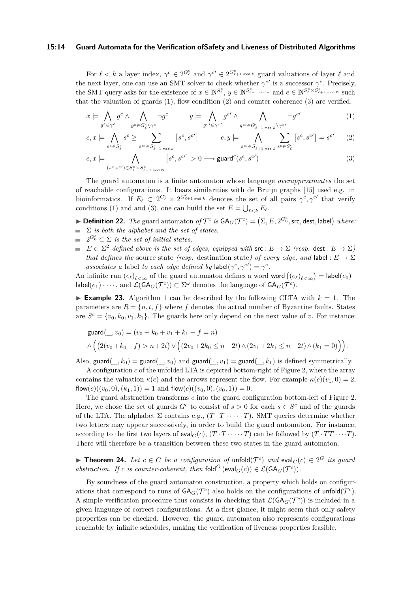#### **15:14 Guard Automata for the Verification ofSafety and Liveness of Distributed Algorithms**

For  $\ell < k$  a layer index,  $\gamma^c \in 2^{G_{\ell}^c}$  and  $\gamma^{c'} \in 2^{G_{\ell+1}^c \mod k}$  guard valuations of layer  $\ell$  and the next layer, one can use an SMT solver to check whether  $\gamma^{c'}$  is a successor  $\gamma^c$ . Precisely, the SMT query asks for the existence of  $x \in \mathbb{N}^{S_{\ell}^c}$ ,  $y \in \mathbb{N}^{S_{\ell+1}^c \mod k}$  and  $e \in \mathbb{N}^{S_{\ell}^c \times S_{\ell+1}^c \mod N}$  such that the valuation of guards  $(1)$ , flow condition  $(2)$  and counter coherence  $(3)$  are verified.

<span id="page-13-0"></span>
$$
x \models \bigwedge_{g^c \in \gamma^c} g^c \land \bigwedge_{g^c \in G^c_{\ell} \setminus \gamma^c} \neg g^c \qquad y \models \bigwedge_{g^{c'} \in \gamma^{c'}} g^{c'} \land \bigwedge_{g^{c'} \in G^c_{\ell+1 \bmod k} \setminus \gamma^{c'}} \neg g^{c'} \qquad (1)
$$

<span id="page-13-1"></span>
$$
e, x \models \bigwedge_{s^c \in S_\ell^c} s^c \ge \sum_{s^{c'} \in S_{\ell+1 \bmod k}^c} \left[ s^c, s^{c'} \right] \qquad e, y \models \bigwedge_{s^{c'} \in S_{\ell+1 \bmod k}^c} \sum_{s^c \in S_\ell^c} \left[ s^c, s^{c'} \right] = s^{c'} \qquad (2)
$$

<span id="page-13-2"></span>
$$
e, x \models \bigwedge_{(s^c, s^{c'}) \in S^c_{\ell} \times S^c_{\ell+1 \text{ mod } N}} [s^c, s^{c'}] > 0 \longrightarrow \text{guard}^{c}(s^c, s^{c'})
$$
(3)

The guard automaton is a finite automaton whose language *overapproximates* the set of reachable configurations. It bears similarities with de Bruijn graphs [\[15\]](#page-15-16) used e.g. in bioinformatics. If  $E_{\ell} \subset 2^{G_{\ell}^c} \times 2^{G_{\ell+1}^c \mod k}$  denotes the set of all pairs  $\gamma^c, \gamma^{c'}$  that verify conditions [\(1\)](#page-13-0) and and [\(3\)](#page-13-2), one can build the set  $E = \bigcup_{\ell < k} E_{\ell}$ .

- $\blacktriangleright$  **Definition 22.** The guard automaton of  $\mathcal{T}^c$  is  $GA_G(\mathcal{T}^c) = (\Sigma, E, 2^{G_0^c}, \text{src}, \text{dest}, \text{label})$  where:  $\sum$  *is both the alphabet and the set of states.*
- $2^{G_0^c} \subset \Sigma$  *is the set of initial states.*
- $E \subset \Sigma^2$  *defined above is the set of edges, equipped with*  $\mathsf{src} : E \to \Sigma$  *(resp.* dest  $E \to \Sigma$ *) that defines the* source state *(resp.* destination state*)* of every edge, and label :  $E \rightarrow \Sigma$ *associates a* label *to each edge defined by*  $\text{label} (\gamma^c, \gamma^{c'}) = \gamma^c$ .

An infinite run  $(e_{\ell})_{\ell < \infty}$  of the guard automaton defines a word word  $((e_{\ell})_{\ell < \infty}) = \textsf{label}(e_0)$ .  $\textsf{label}(e_1)\cdot\cdots,$  and  $\mathcal{L}(\textsf{GA}_G(\mathcal{T}^c))\subset\Sigma^\omega$  denotes the language of  $\textsf{GA}_G(\mathcal{T}^c)$ .

**Example 23.** Algorithm [1](#page-5-0) can be described by the following CLTA with  $k = 1$ . The parameters are  $R = \{n, t, f\}$  where f denotes the actual number of Byzantine faults. States are  $S^c = \{v_0, k_0, v_1, k_1\}$ . The guards here only depend on the next value of *v*. For instance:

$$
\begin{aligned}\n\text{guard}(\_, v_0) &= (v_0 + k_0 + v_1 + k_1 + f = n) \\
\land \left( (2(v_0 + k_0 + f) > n + 2t) \lor \left( (2v_0 + 2k_0 \le n + 2t) \land (2v_1 + 2k_1 \le n + 2t) \land (k_1 = 0) \right) \right).\n\end{aligned}
$$

Also, guard( $\chi$ , k<sub>0</sub>) = guard( $\chi$ , *v*<sub>0</sub>) and guard( $\chi$ , *v*<sub>1</sub>) = guard( $\chi$ , k<sub>1</sub>) is defined symmetrically.

A configuration *c* of the unfolded LTA is depicted bottom-right of Figure [2,](#page-7-0) where the array contains the valuation  $\kappa(c)$  and the arrows represent the flow. For example  $\kappa(c)(v_1, 0) = 2$ , flow(*c*)((*v*<sub>0</sub>, 0), (*k*<sub>1</sub>, 1)) = 1 and flow(*c*)((*v*<sub>0</sub>, 0), (*v*<sub>0</sub>, 1)) = 0.

The guard abstraction transforms *c* into the guard configuration bottom-left of Figure [2.](#page-7-0) Here, we chose the set of guards  $G^c$  to consist of  $s > 0$  for each  $s \in S^c$  and of the guards of the LTA. The alphabet  $\Sigma$  contains e.g.,  $(T \cdot T \cdot \cdots \cdot T)$ . SMT queries determine whether two letters may appear successively, in order to build the guard automaton. For instance, according to the first two layers of eval<sub>*G*</sub>(*c*),  $(T \cdot T \cdot \cdots \cdot T)$  can be followed by  $(T \cdot TT \cdots \cdot T)$ . There will therefore be a transition between these two states in the guard automaton.

▶ **Theorem 24.** *Let*  $c \in C$  *be a configuration of* unfold( $\mathcal{T}^c$ ) *and* eval $_G(c) \in 2^G$  *its guard abstraction. If c is counter-coherent, then*  $\text{fold}^G$  ( $\text{eval}_G(c)$ )  $\in \mathcal{L}(\text{GA}_G(\mathcal{T}^c))$ *.* 

By soundness of the guard automaton construction, a property which holds on configurations that correspond to runs of  $\mathsf{GA}_G(\mathcal{T}^c)$  also holds on the configurations of unfold $(\mathcal{T}^c)$ . A simple verification procedure thus consists in checking that  $\mathcal{L}(\mathsf{GA}_G(\mathcal{T}^c))$  is included in a given language of correct configurations. At a first glance, it might seem that only safety properties can be checked. However, the guard automaton also represents configurations reachable by infinite schedules, making the verification of liveness properties feasible.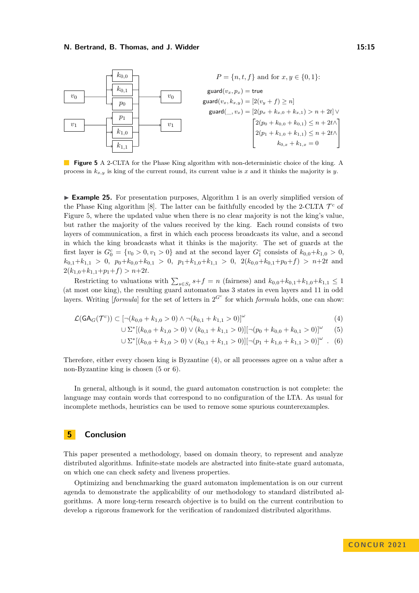<span id="page-14-0"></span>

**Figure 5** A 2-CLTA for the Phase King algorithm with non-deterministic choice of the king. A process in *kx,y* is king of the current round, its current value is *x* and it thinks the majority is *y*.

▶ **Example 25.** For presentation purposes, Algorithm [1](#page-5-0) is an overly simplified version of the Phase King algorithm  $[8]$ . The latter can be faithfully encoded by the 2-CLTA  $\mathcal{T}^c$  of Figure [5,](#page-14-0) where the updated value when there is no clear majority is not the king's value, but rather the majority of the values received by the king. Each round consists of two layers of communication, a first in which each process broadcasts its value, and a second in which the king broadcasts what it thinks is the majority. The set of guards at the first layer is  $G_0^c = \{v_0 > 0, v_1 > 0\}$  and at the second layer  $G_1^c$  consists of  $k_{0,0} + k_{1,0} > 0$ ,  $k_{0,1}+k_{1,1} > 0$ ,  $p_0+k_{0,0}+k_{0,1} > 0$ ,  $p_1+k_{1,0}+k_{1,1} > 0$ ,  $2(k_{0,0}+k_{0,1}+p_0+f) > n+2t$  and  $2(k_{1,0}+k_{1,1}+p_1+f) > n+2t.$ 

Restricting to valuations with  $\sum_{s \in S_\ell} s + f = n$  (fairness) and  $k_{0,0} + k_{0,1} + k_{1,0} + k_{1,1} \leq 1$ (at most one king), the resulting guard automaton has 3 states in even layers and 11 in odd layers. Writing [*formula*] for the set of letters in  $2^{G^c}$  for which *formula* holds, one can show:

$$
\mathcal{L}(\mathsf{GA}_G(\mathcal{T}^c)) \subset \left[ \neg (k_{0,0} + k_{1,0} > 0) \land \neg (k_{0,1} + k_{1,1} > 0) \right]^{\omega}
$$
\n
$$
(4)
$$

<span id="page-14-2"></span><span id="page-14-1"></span>
$$
\bigcup \Sigma^* [(k_{0,0} + k_{1,0} > 0) \vee (k_{0,1} + k_{1,1} > 0)] [\neg (p_0 + k_{0,0} + k_{0,1} > 0)]^{\omega} \tag{5}
$$

<span id="page-14-3"></span>
$$
\cup \ \Sigma^*[(k_{0,0} + k_{1,0} > 0) \ \lor \ (k_{0,1} + k_{1,1} > 0)][\neg (p_1 + k_{1,0} + k_{1,1} > 0)]^\omega \ . \tag{6}
$$

Therefore, either every chosen king is Byzantine [\(4\)](#page-14-1), or all processes agree on a value after a non-Byzantine king is chosen [\(5](#page-14-2) or [6\)](#page-14-3).

In general, although is it sound, the guard automaton construction is not complete: the language may contain words that correspond to no configuration of the LTA. As usual for incomplete methods, heuristics can be used to remove some spurious counterexamples.

# **5 Conclusion**

This paper presented a methodology, based on domain theory, to represent and analyze distributed algorithms. Infinite-state models are abstracted into finite-state guard automata, on which one can check safety and liveness properties.

Optimizing and benchmarking the guard automaton implementation is on our current agenda to demonstrate the applicability of our methodology to standard distributed algorithms. A more long-term research objective is to build on the current contribution to develop a rigorous framework for the verification of randomized distributed algorithms.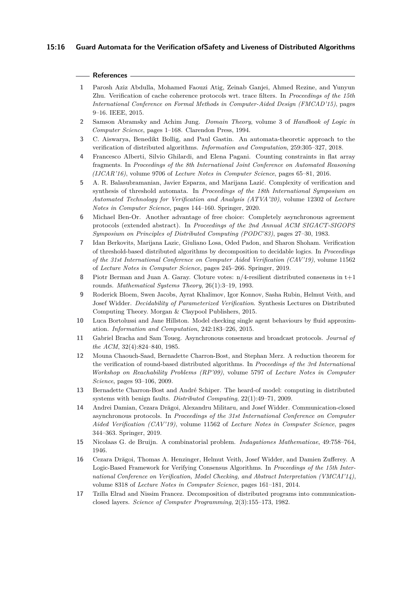#### **15:16 Guard Automata for the Verification ofSafety and Liveness of Distributed Algorithms**

#### **References**

- <span id="page-15-1"></span>**1** Parosh Aziz Abdulla, Mohamed Faouzi Atig, Zeinab Ganjei, Ahmed Rezine, and Yunyun Zhu. Verification of cache coherence protocols wrt. trace filters. In *Proceedings of the 15th International Conference on Formal Methods in Computer-Aided Design (FMCAD'15)*, pages 9–16. IEEE, 2015.
- <span id="page-15-12"></span>**2** Samson Abramsky and Achim Jung. *Domain Theory*, volume 3 of *Handbook of Logic in Computer Science*, pages 1–168. Clarendon Press, 1994.
- <span id="page-15-11"></span>**3** C. Aiswarya, Benedikt Bollig, and Paul Gastin. An automata-theoretic approach to the verification of distributed algorithms. *Information and Computation*, 259:305–327, 2018.
- <span id="page-15-10"></span>**4** Francesco Alberti, Silvio Ghilardi, and Elena Pagani. Counting constraints in flat array fragments. In *Proceedings of the 8th International Joint Conference on Automated Reasoning (IJCAR'16)*, volume 9706 of *Lecture Notes in Computer Science*, pages 65–81, 2016.
- <span id="page-15-5"></span>**5** A. R. Balasubramanian, Javier Esparza, and Marijana Lazić. Complexity of verification and synthesis of threshold automata. In *Proceedings of the 18th International Symposium on Automated Technology for Verification and Analysis (ATVA'20)*, volume 12302 of *Lecture Notes in Computer Science*, pages 144–160. Springer, 2020.
- <span id="page-15-14"></span>**6** Michael Ben-Or. Another advantage of free choice: Completely asynchronous agreement protocols (extended abstract). In *Proceedings of the 2nd Annual ACM SIGACT-SIGOPS Symposium on Principles of Distributed Computing (PODC'83)*, pages 27–30, 1983.
- <span id="page-15-6"></span>**7** Idan Berkovits, Marijana Lazic, Giuliano Losa, Oded Padon, and Sharon Shoham. Verification of threshold-based distributed algorithms by decomposition to decidable logics. In *Proceedings of the 31st International Conference on Computer Aided Verification (CAV'19)*, volume 11562 of *Lecture Notes in Computer Science*, pages 245–266. Springer, 2019.
- <span id="page-15-13"></span>**8** Piotr Berman and Juan A. Garay. Cloture votes: n/4-resilient distributed consensus in t+1 rounds. *Mathematical Systems Theory*, 26(1):3–19, 1993.
- <span id="page-15-0"></span>**9** Roderick Bloem, Swen Jacobs, Ayrat Khalimov, Igor Konnov, Sasha Rubin, Helmut Veith, and Josef Widder. *Decidability of Parameterized Verification*. Synthesis Lectures on Distributed Computing Theory. Morgan & Claypool Publishers, 2015.
- <span id="page-15-2"></span>**10** Luca Bortolussi and Jane Hillston. Model checking single agent behaviours by fluid approximation. *Information and Computation*, 242:183–226, 2015.
- <span id="page-15-3"></span>**11** Gabriel Bracha and Sam Toueg. Asynchronous consensus and broadcast protocols. *Journal of the ACM*, 32(4):824–840, 1985.
- <span id="page-15-8"></span>**12** Mouna Chaouch-Saad, Bernadette Charron-Bost, and Stephan Merz. A reduction theorem for the verification of round-based distributed algorithms. In *Proceedings of the 3rd International Workshop on Reachability Problems (RP'09)*, volume 5797 of *Lecture Notes in Computer Science*, pages 93–106, 2009.
- <span id="page-15-7"></span>**13** Bernadette Charron-Bost and André Schiper. The heard-of model: computing in distributed systems with benign faults. *Distributed Computing*, 22(1):49–71, 2009.
- <span id="page-15-15"></span>**14** Andrei Damian, Cezara Drăgoi, Alexandru Militaru, and Josef Widder. Communication-closed asynchronous protocols. In *Proceedings of the 31st International Conference on Computer Aided Verification (CAV'19)*, volume 11562 of *Lecture Notes in Computer Science*, pages 344–363. Springer, 2019.
- <span id="page-15-16"></span>**15** Nicolaas G. de Bruijn. A combinatorial problem. *Indagationes Mathematicae*, 49:758–764, 1946.
- <span id="page-15-9"></span>**16** Cezara Drăgoi, Thomas A. Henzinger, Helmut Veith, Josef Widder, and Damien Zufferey. A Logic-Based Framework for Verifying Consensus Algorithms. In *Proceedings of the 15th International Conference on Verification, Model Checking, and Abstract Interpretation (VMCAI'14)*, volume 8318 of *Lecture Notes in Computer Science*, pages 161–181, 2014.
- <span id="page-15-4"></span>**17** Tzilla Elrad and Nissim Francez. Decomposition of distributed programs into communicationclosed layers. *Science of Computer Programming*, 2(3):155–173, 1982.